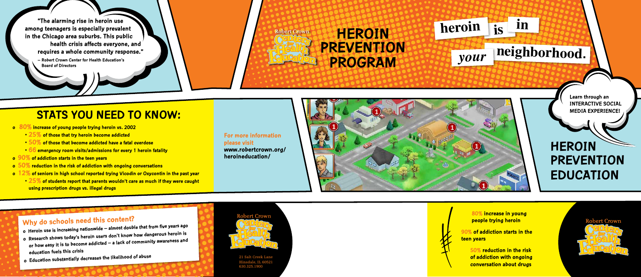# **HEROIN PREVENTION PROGRAM**

**"The alarming rise in heroin use among teenagers is especially prevalent in the Chicago area suburbs. This public health crisis affects everyone, and requires a whole community response."**

> 21 Salt Creek Lane Hinsdale, IL 60521 630.325.190

**– Robert Crown Center for Health Education's Board of Directors**

> **For more information please visit www.robertcrown.org/ heroineducation/**

Robert Crown

## **Why do schools need this content?**

- **o Heroin use is increasing nationwide almost double that from five years ago**
- **o Research shows today's heroin users don't know how dangerous heroin is or how easy it is to become addicted – a lack of community awareness an<sup>d</sup> education fuels this crisis**
- **o Education substantially decreases the likelihood of abuse**



# **HEROIN PREVENTION EDUCATION**



 **80% increase in young people trying heroin**

**90% of addiction starts in the teen years**

> **50% reduction in the risk of addiction with ongoing conversation about drugs**

**Robert Crown** 



- **o 80% increase of young people trying heroin vs. 2002**
	- **25% of those that try heroin become addicted**
	- **50% of those that become addicted have a fatal overdose**
	- **66 emergency room visits/admissions for every 1 heroin fatality**
- **o 90% of addiction starts in the teen years**
- **o 50% reduction in the risk of addiction with ongoing conversations**
- **o 12% of seniors in high school reported trying Vicodin or Oxycontin in the past year**
	- **25% of students report that parents wouldn't care as much if they were caught using prescription drugs vs. illegal drugs**

# **neighborhood.** *your*

**is in**

**heroin**



#### **Learn through an INTERACTIVE SOCIAL MEDIA EXPERIENCE!**

## **STATS YOU NEED TO KNOW:**